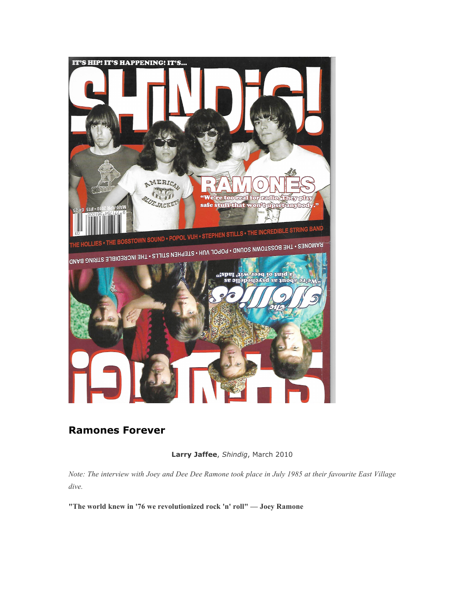

# **Ramones Forever**

**Larry Jaffee**, *Shindig*, March 2010

*Note: The interview with Joey and Dee Dee Ramone took place in July 1985 at their favourite East Village dive.*

**"The world knew in '76 we revolutionized rock 'n' roll" — Joey Ramone**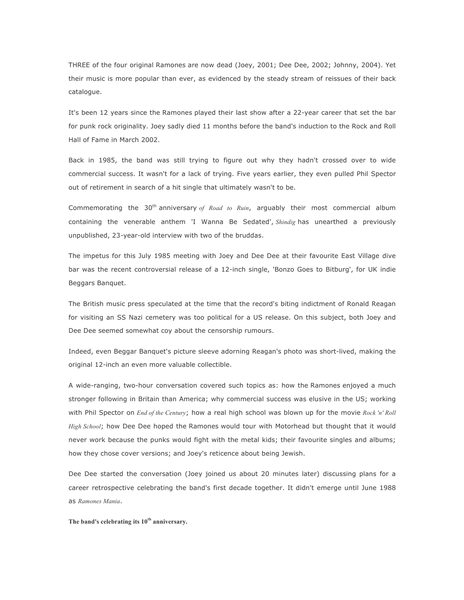THREE of the four original Ramones are now dead (Joey, 2001; Dee Dee, 2002; Johnny, 2004). Yet their music is more popular than ever, as evidenced by the steady stream of reissues of their back catalogue.

It's been 12 years since the Ramones played their last show after a 22-year career that set the bar for punk rock originality. Joey sadly died 11 months before the band's induction to the Rock and Roll Hall of Fame in March 2002.

Back in 1985, the band was still trying to figure out why they hadn't crossed over to wide commercial success. It wasn't for a lack of trying. Five years earlier, they even pulled Phil Spector out of retirement in search of a hit single that ultimately wasn't to be.

Commemorating the 30th anniversary *of Road to Ruin*, arguably their most commercial album containing the venerable anthem 'I Wanna Be Sedated', *Shindig* has unearthed a previously unpublished, 23-year-old interview with two of the bruddas.

The impetus for this July 1985 meeting with Joey and Dee Dee at their favourite East Village dive bar was the recent controversial release of a 12-inch single, 'Bonzo Goes to Bitburg', for UK indie Beggars Banquet.

The British music press speculated at the time that the record's biting indictment of Ronald Reagan for visiting an SS Nazi cemetery was too political for a US release. On this subject, both Joey and Dee Dee seemed somewhat coy about the censorship rumours.

Indeed, even Beggar Banquet's picture sleeve adorning Reagan's photo was short-lived, making the original 12-inch an even more valuable collectible.

A wide-ranging, two-hour conversation covered such topics as: how the Ramones enjoyed a much stronger following in Britain than America; why commercial success was elusive in the US; working with Phil Spector on *End of the Century*; how a real high school was blown up for the movie *Rock 'n' Roll High School*; how Dee Dee hoped the Ramones would tour with Motorhead but thought that it would never work because the punks would fight with the metal kids; their favourite singles and albums; how they chose cover versions; and Joey's reticence about being Jewish.

Dee Dee started the conversation (Joey joined us about 20 minutes later) discussing plans for a career retrospective celebrating the band's first decade together. It didn't emerge until June 1988 as *Ramones Mania*.

**The band's celebrating its 10th anniversary.**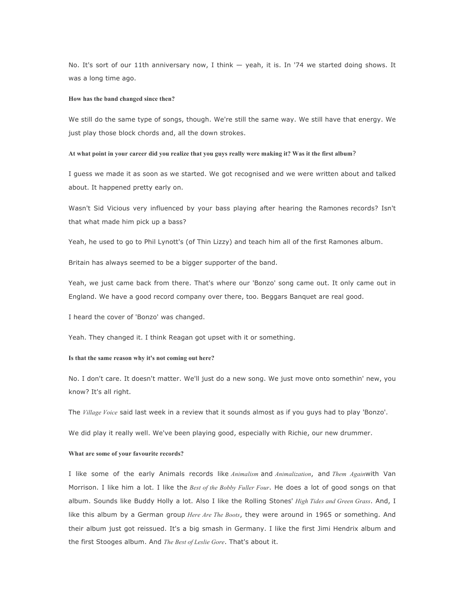No. It's sort of our 11th anniversary now, I think — yeah, it is. In '74 we started doing shows. It was a long time ago.

## **How has the band changed since then?**

We still do the same type of songs, though. We're still the same way. We still have that energy. We just play those block chords and, all the down strokes.

## **At what point in your career did you realize that you guys really were making it? Was it the first album**?

I guess we made it as soon as we started. We got recognised and we were written about and talked about. It happened pretty early on.

Wasn't Sid Vicious very influenced by your bass playing after hearing the Ramones records? Isn't that what made him pick up a bass?

Yeah, he used to go to Phil Lynott's (of Thin Lizzy) and teach him all of the first Ramones album.

Britain has always seemed to be a bigger supporter of the band.

Yeah, we just came back from there. That's where our 'Bonzo' song came out. It only came out in England. We have a good record company over there, too. Beggars Banquet are real good.

I heard the cover of 'Bonzo' was changed.

Yeah. They changed it. I think Reagan got upset with it or something.

## **Is that the same reason why it's not coming out here?**

No. I don't care. It doesn't matter. We'll just do a new song. We just move onto somethin' new, you know? It's all right.

The *Village Voice* said last week in a review that it sounds almost as if you guys had to play 'Bonzo'.

We did play it really well. We've been playing good, especially with Richie, our new drummer.

## **What are some of your favourite records?**

I like some of the early Animals records like *Animalism* and *Animalization*, and *Them Again*with Van Morrison. I like him a lot. I like the *Best of the Bobby Fuller Four*. He does a lot of good songs on that album. Sounds like Buddy Holly a lot. Also I like the Rolling Stones' *High Tides and Green Grass*. And, I like this album by a German group *Here Are The Boots*, they were around in 1965 or something. And their album just got reissued. It's a big smash in Germany. I like the first Jimi Hendrix album and the first Stooges album. And *The Best of Leslie Gore*. That's about it.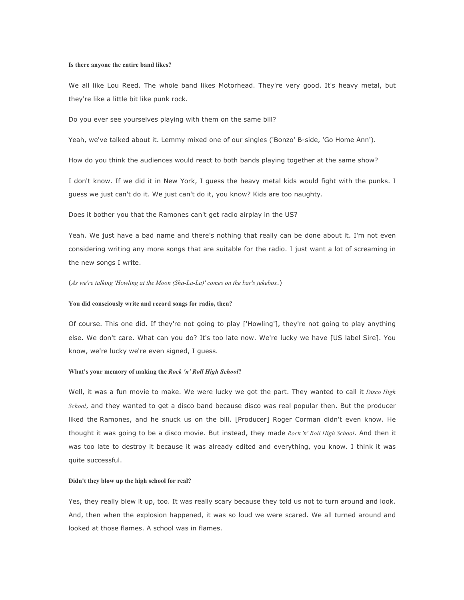#### **Is there anyone the entire band likes?**

We all like Lou Reed. The whole band likes Motorhead. They're very good. It's heavy metal, but they're like a little bit like punk rock.

Do you ever see yourselves playing with them on the same bill?

Yeah, we've talked about it. Lemmy mixed one of our singles ('Bonzo' B-side, 'Go Home Ann').

How do you think the audiences would react to both bands playing together at the same show?

I don't know. If we did it in New York, I guess the heavy metal kids would fight with the punks. I guess we just can't do it. We just can't do it, you know? Kids are too naughty.

Does it bother you that the Ramones can't get radio airplay in the US?

Yeah. We just have a bad name and there's nothing that really can be done about it. I'm not even considering writing any more songs that are suitable for the radio. I just want a lot of screaming in the new songs I write.

(*As we're talking 'Howling at the Moon (Sha-La-La)' comes on the bar's jukebox*.)

#### **You did consciously write and record songs for radio, then?**

Of course. This one did. If they're not going to play ['Howling'], they're not going to play anything else. We don't care. What can you do? It's too late now. We're lucky we have [US label Sire]. You know, we're lucky we're even signed, I guess.

#### **What's your memory of making the** *Rock 'n' Roll High School***?**

Well, it was a fun movie to make. We were lucky we got the part. They wanted to call it *Disco High School*, and they wanted to get a disco band because disco was real popular then. But the producer liked the Ramones, and he snuck us on the bill. [Producer] Roger Corman didn't even know. He thought it was going to be a disco movie. But instead, they made *Rock 'n' Roll High School*. And then it was too late to destroy it because it was already edited and everything, you know. I think it was quite successful.

## **Didn't they blow up the high school for real?**

Yes, they really blew it up, too. It was really scary because they told us not to turn around and look. And, then when the explosion happened, it was so loud we were scared. We all turned around and looked at those flames. A school was in flames.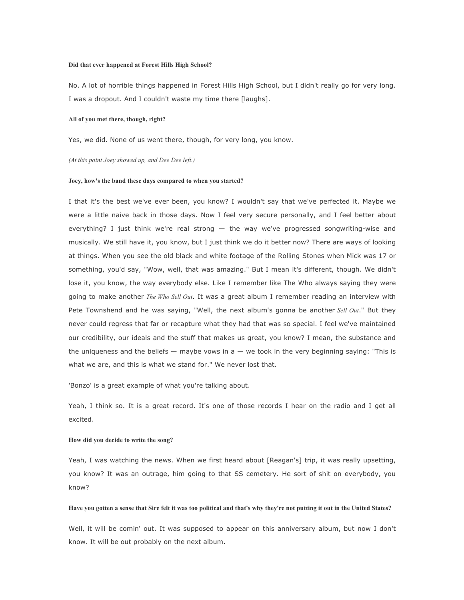#### **Did that ever happened at Forest Hills High School?**

No. A lot of horrible things happened in Forest Hills High School, but I didn't really go for very long. I was a dropout. And I couldn't waste my time there [laughs].

## **All of you met there, though, right?**

Yes, we did. None of us went there, though, for very long, you know.

#### *(At this point Joey showed up, and Dee Dee left.)*

#### **Joey, how's the band these days compared to when you started?**

I that it's the best we've ever been, you know? I wouldn't say that we've perfected it. Maybe we were a little naive back in those days. Now I feel very secure personally, and I feel better about everything? I just think we're real strong — the way we've progressed songwriting-wise and musically. We still have it, you know, but I just think we do it better now? There are ways of looking at things. When you see the old black and white footage of the Rolling Stones when Mick was 17 or something, you'd say, "Wow, well, that was amazing." But I mean it's different, though. We didn't lose it, you know, the way everybody else. Like I remember like The Who always saying they were going to make another *The Who Sell Out*. It was a great album I remember reading an interview with Pete Townshend and he was saying, "Well, the next album's gonna be another *Sell Out*." But they never could regress that far or recapture what they had that was so special. I feel we've maintained our credibility, our ideals and the stuff that makes us great, you know? I mean, the substance and the uniqueness and the beliefs  $-$  maybe vows in a  $-$  we took in the very beginning saying: "This is what we are, and this is what we stand for." We never lost that.

'Bonzo' is a great example of what you're talking about.

Yeah, I think so. It is a great record. It's one of those records I hear on the radio and I get all excited.

## **How did you decide to write the song?**

Yeah, I was watching the news. When we first heard about [Reagan's] trip, it was really upsetting, you know? It was an outrage, him going to that SS cemetery. He sort of shit on everybody, you know?

## **Have you gotten a sense that Sire felt it was too political and that's why they're not putting it out in the United States?**

Well, it will be comin' out. It was supposed to appear on this anniversary album, but now I don't know. It will be out probably on the next album.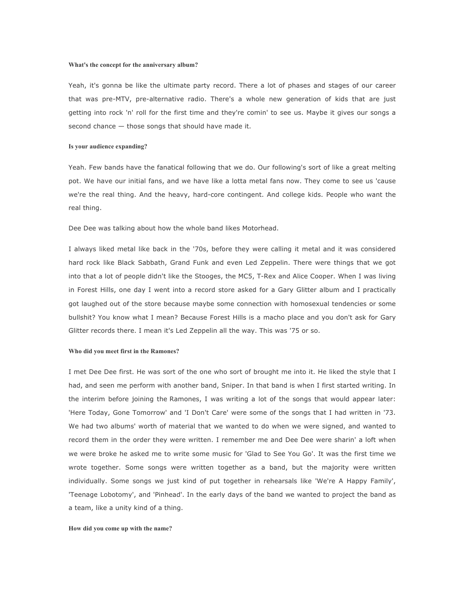#### **What's the concept for the anniversary album?**

Yeah, it's gonna be like the ultimate party record. There a lot of phases and stages of our career that was pre-MTV, pre-alternative radio. There's a whole new generation of kids that are just getting into rock 'n' roll for the first time and they're comin' to see us. Maybe it gives our songs a second chance — those songs that should have made it.

### **Is your audience expanding?**

Yeah. Few bands have the fanatical following that we do. Our following's sort of like a great melting pot. We have our initial fans, and we have like a lotta metal fans now. They come to see us 'cause we're the real thing. And the heavy, hard-core contingent. And college kids. People who want the real thing.

Dee Dee was talking about how the whole band likes Motorhead.

I always liked metal like back in the '70s, before they were calling it metal and it was considered hard rock like Black Sabbath, Grand Funk and even Led Zeppelin. There were things that we got into that a lot of people didn't like the Stooges, the MC5, T-Rex and Alice Cooper. When I was living in Forest Hills, one day I went into a record store asked for a Gary Glitter album and I practically got laughed out of the store because maybe some connection with homosexual tendencies or some bullshit? You know what I mean? Because Forest Hills is a macho place and you don't ask for Gary Glitter records there. I mean it's Led Zeppelin all the way. This was '75 or so.

#### **Who did you meet first in the Ramones?**

I met Dee Dee first. He was sort of the one who sort of brought me into it. He liked the style that I had, and seen me perform with another band, Sniper. In that band is when I first started writing. In the interim before joining the Ramones, I was writing a lot of the songs that would appear later: 'Here Today, Gone Tomorrow' and 'I Don't Care' were some of the songs that I had written in '73. We had two albums' worth of material that we wanted to do when we were signed, and wanted to record them in the order they were written. I remember me and Dee Dee were sharin' a loft when we were broke he asked me to write some music for 'Glad to See You Go'. It was the first time we wrote together. Some songs were written together as a band, but the majority were written individually. Some songs we just kind of put together in rehearsals like 'We're A Happy Family', 'Teenage Lobotomy', and 'Pinhead'. In the early days of the band we wanted to project the band as a team, like a unity kind of a thing.

#### **How did you come up with the name?**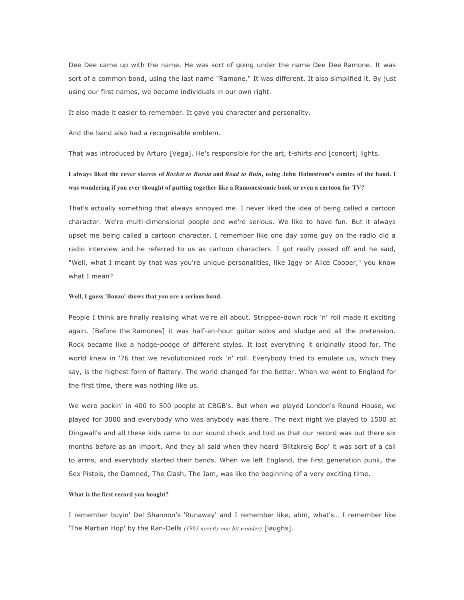Dee Dee came up with the name. He was sort of going under the name Dee Dee Ramone. It was sort of a common bond, using the last name "Ramone." It was different. It also simplified it. By just using our first names, we became individuals in our own right.

It also made it easier to remember. It gave you character and personality.

And the band also had a recognisable emblem.

That was introduced by Arturo [Vega]. He's responsible for the art, t-shirts and [concert] lights.

## **I always liked the cover sleeves of** *Rocket to Russia* **and** *Road to Ruin***, using John Holmstrom's comics of the band. I was wondering if you ever thought of putting together like a Ramonescomic book or even a cartoon for TV?**

That's actually something that always annoyed me. I never liked the idea of being called a cartoon character. We're multi-dimensional people and we're serious. We like to have fun. But it always upset me being called a cartoon character. I remember like one day some guy on the radio did a radio interview and he referred to us as cartoon characters. I got really pissed off and he said, "Well, what I meant by that was you're unique personalities, like Iggy or Alice Cooper," you know what I mean?

#### **Well, I guess 'Bonzo' shows that you are a serious band.**

People I think are finally realising what we're all about. Stripped-down rock 'n' roll made it exciting again. [Before the Ramones] it was half-an-hour guitar solos and sludge and all the pretension. Rock became like a hodge-podge of different styles. It lost everything it originally stood for. The world knew in '76 that we revolutionized rock 'n' roll. Everybody tried to emulate us, which they say, is the highest form of flattery. The world changed for the better. When we went to England for the first time, there was nothing like us.

We were packin' in 400 to 500 people at CBGB's. But when we played London's Round House, we played for 3000 and everybody who was anybody was there. The next night we played to 1500 at Dingwall's and all these kids came to our sound check and told us that our record was out there six months before as an import. And they all said when they heard 'Blitzkreig Bop' it was sort of a call to arms, and everybody started their bands. When we left England, the first generation punk, the Sex Pistols, the Damned, The Clash, The Jam, was like the beginning of a very exciting time.

#### **What is the first record you bought?**

I remember buyin' Del Shannon's 'Runaway' and I remember like, ahm, what's… I remember like 'The Martian Hop' by the Ran-Dells *(1963 novelty one-hit wonder)* [laughs].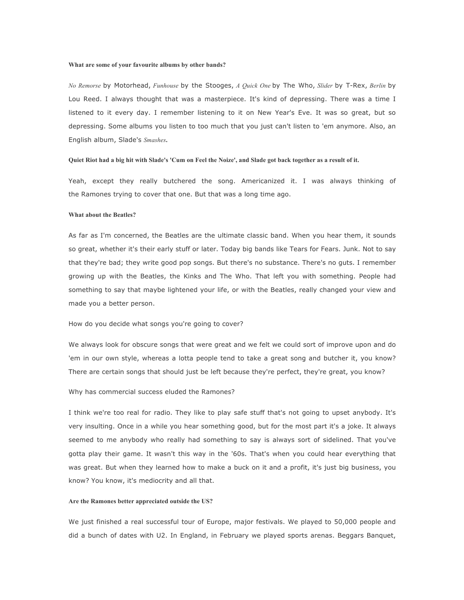#### **What are some of your favourite albums by other bands?**

*No Remorse* by Motorhead, *Funhouse* by the Stooges, *A Quick One* by The Who, *Slider* by T-Rex, *Berlin* by Lou Reed. I always thought that was a masterpiece. It's kind of depressing. There was a time I listened to it every day. I remember listening to it on New Year's Eve. It was so great, but so depressing. Some albums you listen to too much that you just can't listen to 'em anymore. Also, an English album, Slade's *Smashes***.**

#### **Quiet Riot had a big hit with Slade's 'Cum on Feel the Noize', and Slade got back together as a result of it.**

Yeah, except they really butchered the song. Americanized it. I was always thinking of the Ramones trying to cover that one. But that was a long time ago.

## **What about the Beatles?**

As far as I'm concerned, the Beatles are the ultimate classic band. When you hear them, it sounds so great, whether it's their early stuff or later. Today big bands like Tears for Fears. Junk. Not to say that they're bad; they write good pop songs. But there's no substance. There's no guts. I remember growing up with the Beatles, the Kinks and The Who. That left you with something. People had something to say that maybe lightened your life, or with the Beatles, really changed your view and made you a better person.

## How do you decide what songs you're going to cover?

We always look for obscure songs that were great and we felt we could sort of improve upon and do 'em in our own style, whereas a lotta people tend to take a great song and butcher it, you know? There are certain songs that should just be left because they're perfect, they're great, you know?

## Why has commercial success eluded the Ramones?

I think we're too real for radio. They like to play safe stuff that's not going to upset anybody. It's very insulting. Once in a while you hear something good, but for the most part it's a joke. It always seemed to me anybody who really had something to say is always sort of sidelined. That you've gotta play their game. It wasn't this way in the '60s. That's when you could hear everything that was great. But when they learned how to make a buck on it and a profit, it's just big business, you know? You know, it's mediocrity and all that.

#### **Are the Ramones better appreciated outside the US?**

We just finished a real successful tour of Europe, major festivals. We played to 50,000 people and did a bunch of dates with U2. In England, in February we played sports arenas. Beggars Banquet,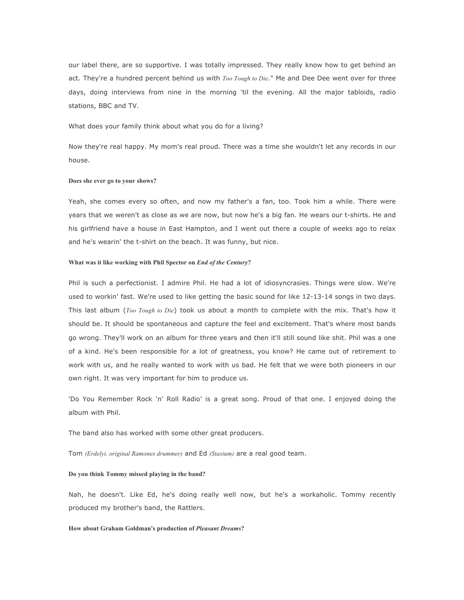our label there, are so supportive. I was totally impressed. They really know how to get behind an act. They're a hundred percent behind us with *Too Tough to Die*." Me and Dee Dee went over for three days, doing interviews from nine in the morning 'til the evening. All the major tabloids, radio stations, BBC and TV.

What does your family think about what you do for a living?

Now they're real happy. My mom's real proud. There was a time she wouldn't let any records in our house.

#### **Does she ever go to your shows?**

Yeah, she comes every so often, and now my father's a fan, too. Took him a while. There were years that we weren't as close as we are now, but now he's a big fan. He wears our t-shirts. He and his girlfriend have a house in East Hampton, and I went out there a couple of weeks ago to relax and he's wearin' the t-shirt on the beach. It was funny, but nice.

## **What was it like working with Phil Spector on** *End of the Century***?**

Phil is such a perfectionist. I admire Phil. He had a lot of idiosyncrasies. Things were slow. We're used to workin' fast. We're used to like getting the basic sound for like 12-13-14 songs in two days. This last album (*Too Tough to Die*) took us about a month to complete with the mix. That's how it should be. It should be spontaneous and capture the feel and excitement. That's where most bands go wrong. They'll work on an album for three years and then it'll still sound like shit. Phil was a one of a kind. He's been responsible for a lot of greatness, you know? He came out of retirement to work with us, and he really wanted to work with us bad. He felt that we were both pioneers in our own right. It was very important for him to produce us.

'Do You Remember Rock 'n' Roll Radio' is a great song. Proud of that one. I enjoyed doing the album with Phil.

The band also has worked with some other great producers.

Tom *(Erdelyi, original Ramones drummer)* and Ed *(Stasium)* are a real good team.

## **Do you think Tommy missed playing in the band?**

Nah, he doesn't. Like Ed, he's doing really well now, but he's a workaholic. Tommy recently produced my brother's band, the Rattlers.

## **How about Graham Goldman's production of** *Pleasant Dreams***?**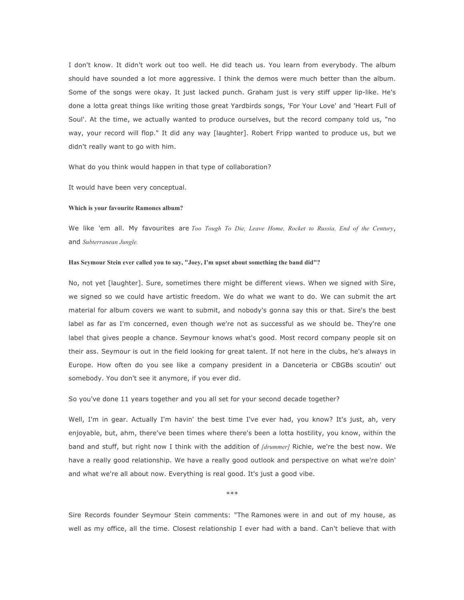I don't know. It didn't work out too well. He did teach us. You learn from everybody. The album should have sounded a lot more aggressive. I think the demos were much better than the album. Some of the songs were okay. It just lacked punch. Graham just is very stiff upper lip-like. He's done a lotta great things like writing those great Yardbirds songs, 'For Your Love' and 'Heart Full of Soul'. At the time, we actually wanted to produce ourselves, but the record company told us, "no way, your record will flop." It did any way [laughter]. Robert Fripp wanted to produce us, but we didn't really want to go with him.

What do you think would happen in that type of collaboration?

It would have been very conceptual.

## **Which is your favourite Ramones album?**

We like 'em all. My favourites are *Too Tough To Die, Leave Home, Rocket to Russia, End of the Century*, and *Subterranean Jungle.*

## **Has Seymour Stein ever called you to say, "Joey, I'm upset about something the band did"?**

No, not yet [laughter]. Sure, sometimes there might be different views. When we signed with Sire, we signed so we could have artistic freedom. We do what we want to do. We can submit the art material for album covers we want to submit, and nobody's gonna say this or that. Sire's the best label as far as I'm concerned, even though we're not as successful as we should be. They're one label that gives people a chance. Seymour knows what's good. Most record company people sit on their ass. Seymour is out in the field looking for great talent. If not here in the clubs, he's always in Europe. How often do you see like a company president in a Danceteria or CBGBs scoutin' out somebody. You don't see it anymore, if you ever did.

So you've done 11 years together and you all set for your second decade together?

Well, I'm in gear. Actually I'm havin' the best time I've ever had, you know? It's just, ah, very enjoyable, but, ahm, there've been times where there's been a lotta hostility, you know, within the band and stuff, but right now I think with the addition of *[drummer]* Richie, we're the best now. We have a really good relationship. We have a really good outlook and perspective on what we're doin' and what we're all about now. Everything is real good. It's just a good vibe.

\*\*\*

Sire Records founder Seymour Stein comments: "The Ramones were in and out of my house, as well as my office, all the time. Closest relationship I ever had with a band. Can't believe that with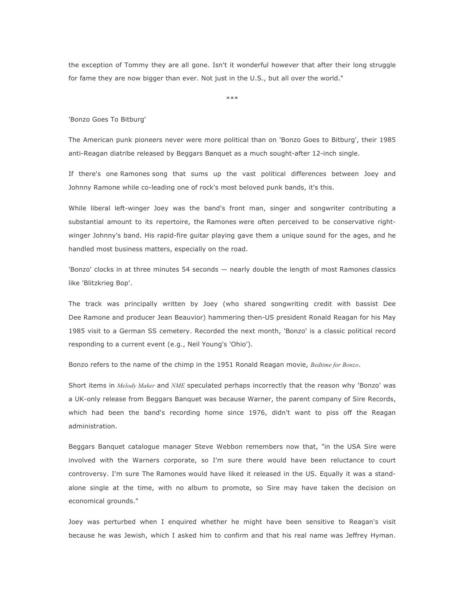the exception of Tommy they are all gone. Isn't it wonderful however that after their long struggle for fame they are now bigger than ever. Not just in the U.S., but all over the world."

\*\*\*

'Bonzo Goes To Bitburg'

The American punk pioneers never were more political than on 'Bonzo Goes to Bitburg', their 1985 anti-Reagan diatribe released by Beggars Banquet as a much sought-after 12-inch single.

If there's one Ramones song that sums up the vast political differences between Joey and Johnny Ramone while co-leading one of rock's most beloved punk bands, it's this.

While liberal left-winger Joey was the band's front man, singer and songwriter contributing a substantial amount to its repertoire, the Ramones were often perceived to be conservative rightwinger Johnny's band. His rapid-fire guitar playing gave them a unique sound for the ages, and he handled most business matters, especially on the road.

'Bonzo' clocks in at three minutes 54 seconds — nearly double the length of most Ramones classics like 'Blitzkrieg Bop'.

The track was principally written by Joey (who shared songwriting credit with bassist Dee Dee Ramone and producer Jean Beauvior) hammering then-US president Ronald Reagan for his May 1985 visit to a German SS cemetery. Recorded the next month, 'Bonzo' is a classic political record responding to a current event (e.g., Neil Young's 'Ohio').

Bonzo refers to the name of the chimp in the 1951 Ronald Reagan movie, *Bedtime for Bonzo*.

Short items in *Melody Maker* and *NME* speculated perhaps incorrectly that the reason why 'Bonzo' was a UK-only release from Beggars Banquet was because Warner, the parent company of Sire Records, which had been the band's recording home since 1976, didn't want to piss off the Reagan administration.

Beggars Banquet catalogue manager Steve Webbon remembers now that, "in the USA Sire were involved with the Warners corporate, so I'm sure there would have been reluctance to court controversy. I'm sure The Ramones would have liked it released in the US. Equally it was a standalone single at the time, with no album to promote, so Sire may have taken the decision on economical grounds."

Joey was perturbed when I enquired whether he might have been sensitive to Reagan's visit because he was Jewish, which I asked him to confirm and that his real name was Jeffrey Hyman.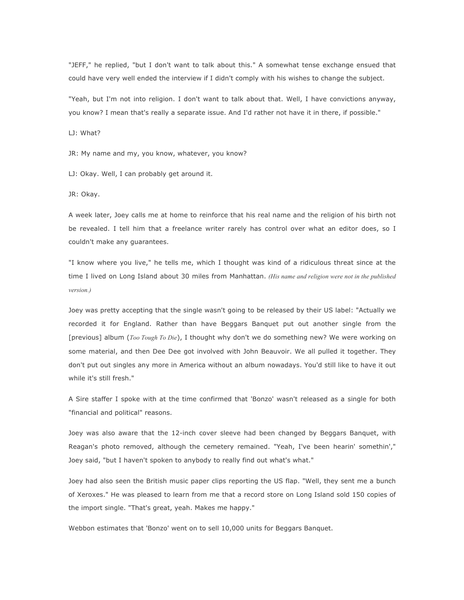"JEFF," he replied, "but I don't want to talk about this." A somewhat tense exchange ensued that could have very well ended the interview if I didn't comply with his wishes to change the subject.

"Yeah, but I'm not into religion. I don't want to talk about that. Well, I have convictions anyway, you know? I mean that's really a separate issue. And I'd rather not have it in there, if possible."

LJ: What?

JR: My name and my, you know, whatever, you know?

LJ: Okay. Well, I can probably get around it.

JR: Okay.

A week later, Joey calls me at home to reinforce that his real name and the religion of his birth not be revealed. I tell him that a freelance writer rarely has control over what an editor does, so I couldn't make any guarantees.

"I know where you live," he tells me, which I thought was kind of a ridiculous threat since at the time I lived on Long Island about 30 miles from Manhattan. *(His name and religion were not in the published version.)*

Joey was pretty accepting that the single wasn't going to be released by their US label: "Actually we recorded it for England. Rather than have Beggars Banquet put out another single from the [previous] album (*Too Tough To Die*), I thought why don't we do something new? We were working on some material, and then Dee Dee got involved with John Beauvoir. We all pulled it together. They don't put out singles any more in America without an album nowadays. You'd still like to have it out while it's still fresh."

A Sire staffer I spoke with at the time confirmed that 'Bonzo' wasn't released as a single for both "financial and political" reasons.

Joey was also aware that the 12-inch cover sleeve had been changed by Beggars Banquet, with Reagan's photo removed, although the cemetery remained. "Yeah, I've been hearin' somethin'," Joey said, "but I haven't spoken to anybody to really find out what's what."

Joey had also seen the British music paper clips reporting the US flap. "Well, they sent me a bunch of Xeroxes." He was pleased to learn from me that a record store on Long Island sold 150 copies of the import single. "That's great, yeah. Makes me happy."

Webbon estimates that 'Bonzo' went on to sell 10,000 units for Beggars Banquet.